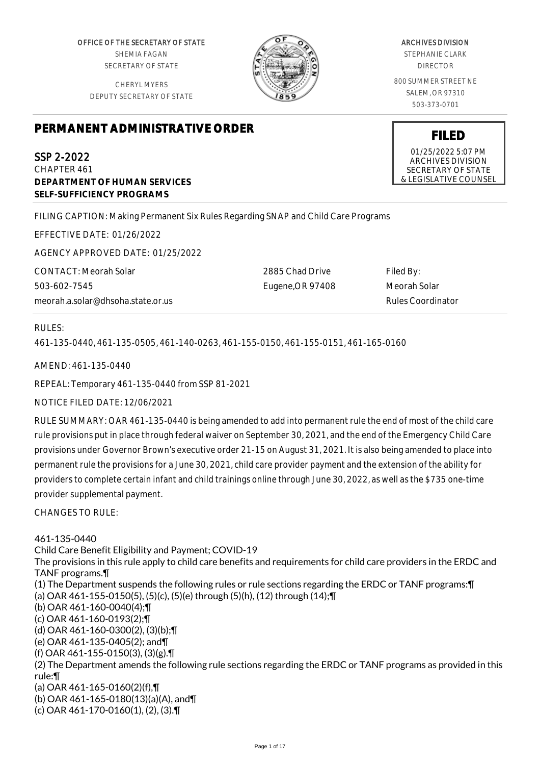OFFICE OF THE SECRETARY OF STATE SHEMIA FAGAN SECRETARY OF STATE

CHERYL MYERS DEPUTY SECRETARY OF STATE



#### ARCHIVES DIVISION

STEPHANIE CLARK DIRECTOR

800 SUMMER STREET NE SALEM, OR 97310 503-373-0701

# **PERMANENT ADMINISTRATIVE ORDER**

SSP 2-2022 CHAPTER 461 **DEPARTMENT OF HUMAN SERVICES SELF-SUFFICIENCY PROGRAMS**

FILING CAPTION: Making Permanent Six Rules Regarding SNAP and Child Care Programs

EFFECTIVE DATE: 01/26/2022

AGENCY APPROVED DATE: 01/25/2022

CONTACT: Meorah Solar 503-602-7545 meorah.a.solar@dhsoha.state.or.us 2885 Chad Drive Eugene,OR 97408

Filed By: Meorah Solar Rules Coordinator

## RULES:

461-135-0440, 461-135-0505, 461-140-0263, 461-155-0150, 461-155-0151, 461-165-0160

AMEND: 461-135-0440

REPEAL: Temporary 461-135-0440 from SSP 81-2021

NOTICE FILED DATE: 12/06/2021

RULE SUMMARY: OAR 461-135-0440 is being amended to add into permanent rule the end of most of the child care rule provisions put in place through federal waiver on September 30, 2021, and the end of the Emergency Child Care provisions under Governor Brown's executive order 21-15 on August 31, 2021. It is also being amended to place into permanent rule the provisions for a June 30, 2021, child care provider payment and the extension of the ability for providers to complete certain infant and child trainings online through June 30, 2022, as well as the \$735 one-time provider supplemental payment.

CHANGES TO RULE:

461-135-0440 Child Care Benefit Eligibility and Payment; COVID-19 The provisions in this rule apply to child care benefits and requirements for child care providers in the ERDC and TANF programs.¶ (1) The Department suspends the following rules or rule sections regarding the ERDC or TANF programs:¶ (a) OAR 461-155-0150(5), (5)(c), (5)(e) through (5)(h), (12) through (14);¶ (b) OAR 461-160-0040(4);¶ (c) OAR 461-160-0193(2);¶ (d) OAR 461-160-0300(2), (3)(b);¶ (e) OAR 461-135-0405(2); and¶ (f) OAR 461-155-0150(3), (3)(g).¶ (2) The Department amends the following rule sections regarding the ERDC or TANF programs as provided in this rule:¶ (a) OAR 461-165-0160(2)(f),¶ (b) OAR 461-165-0180(13)(a)(A), and¶ (c) OAR 461-170-0160(1), (2), (3).¶

**FILED**

01/25/2022 5:07 PM ARCHIVES DIVISION SECRETARY OF STATE & LEGISLATIVE COUNSEL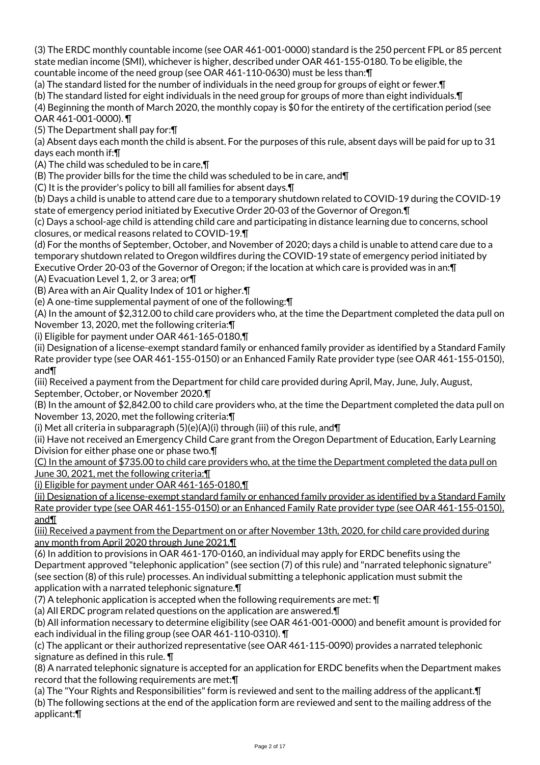(3) The ERDC monthly countable income (see OAR 461-001-0000) standard is the 250 percent FPL or 85 percent state median income (SMI), whichever is higher, described under OAR 461-155-0180. To be eligible, the countable income of the need group (see OAR 461-110-0630) must be less than:¶

(a) The standard listed for the number of individuals in the need group for groups of eight or fewer.¶

(b) The standard listed for eight individuals in the need group for groups of more than eight individuals.¶

(4) Beginning the month of March 2020, the monthly copay is \$0 for the entirety of the certification period (see OAR 461-001-0000). ¶

(5) The Department shall pay for:¶

(a) Absent days each month the child is absent. For the purposes of this rule, absent days will be paid for up to 31 days each month if:¶

(A) The child was scheduled to be in care,¶

(B) The provider bills for the time the child was scheduled to be in care, and¶

(C) It is the provider's policy to bill all families for absent days.¶

(b) Days a child is unable to attend care due to a temporary shutdown related to COVID-19 during the COVID-19 state of emergency period initiated by Executive Order 20-03 of the Governor of Oregon.¶

(c) Days a school-age child is attending child care and participating in distance learning due to concerns, school closures, or medical reasons related to COVID-19.¶

(d) For the months of September, October, and November of 2020; days a child is unable to attend care due to a temporary shutdown related to Oregon wildfires during the COVID-19 state of emergency period initiated by Executive Order 20-03 of the Governor of Oregon; if the location at which care is provided was in an:¶

(A) Evacuation Level 1, 2, or 3 area; or¶

(B) Area with an Air Quality Index of 101 or higher.¶

(e) A one-time supplemental payment of one of the following:¶

(A) In the amount of \$2,312.00 to child care providers who, at the time the Department completed the data pull on November 13, 2020, met the following criteria:¶

(i) Eligible for payment under OAR 461-165-0180,¶

(ii) Designation of a license-exempt standard family or enhanced family provider as identified by a Standard Family Rate provider type (see OAR 461-155-0150) or an Enhanced Family Rate provider type (see OAR 461-155-0150), and¶

(iii) Received a payment from the Department for child care provided during April, May, June, July, August, September, October, or November 2020.¶

(B) In the amount of \$2,842.00 to child care providers who, at the time the Department completed the data pull on November 13, 2020, met the following criteria:¶

(i) Met all criteria in subparagraph  $(5)(e)(A)(i)$  through (iii) of this rule, and  $\P$ 

(ii) Have not received an Emergency Child Care grant from the Oregon Department of Education, Early Learning Division for either phase one or phase two.¶

(C) In the amount of \$735.00 to child care providers who, at the time the Department completed the data pull on June 30, 2021, met the following criteria:¶

(i) Eligible for payment under OAR 461-165-0180,¶

(ii) Designation of a license-exempt standard family or enhanced family provider as identified by a Standard Family Rate provider type (see OAR 461-155-0150) or an Enhanced Family Rate provider type (see OAR 461-155-0150), and¶

(iii) Received a payment from the Department on or after November 13th, 2020, for child care provided during any month from April 2020 through June 2021.¶

(6) In addition to provisions in OAR 461-170-0160, an individual may apply for ERDC benefits using the Department approved "telephonic application" (see section (7) of this rule) and "narrated telephonic signature" (see section (8) of this rule) processes. An individual submitting a telephonic application must submit the application with a narrated telephonic signature.¶

(7) A telephonic application is accepted when the following requirements are met: ¶

(a) All ERDC program related questions on the application are answered.¶

(b) All information necessary to determine eligibility (see OAR 461-001-0000) and benefit amount is provided for each individual in the filing group (see OAR 461-110-0310). ¶

(c) The applicant or their authorized representative (see OAR 461-115-0090) provides a narrated telephonic signature as defined in this rule. ¶

(8) A narrated telephonic signature is accepted for an application for ERDC benefits when the Department makes record that the following requirements are met:¶

(a) The "Your Rights and Responsibilities" form is reviewed and sent to the mailing address of the applicant.¶ (b) The following sections at the end of the application form are reviewed and sent to the mailing address of the applicant:¶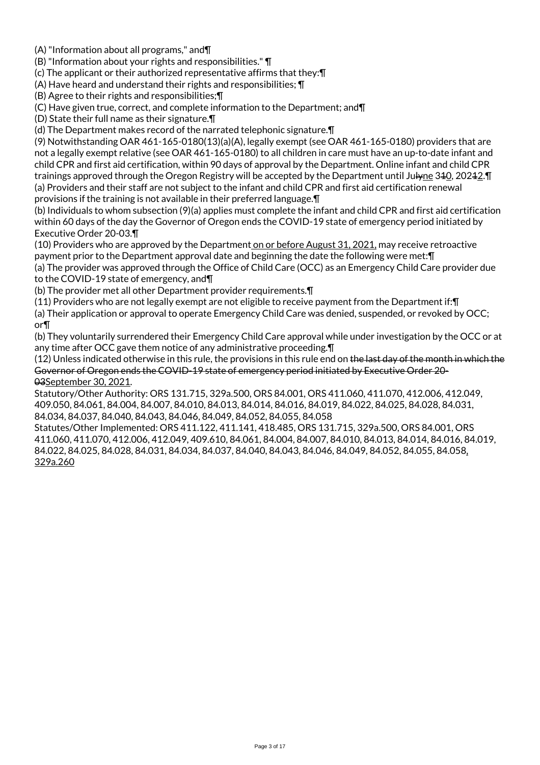(A) "Information about all programs," and¶

(B) "Information about your rights and responsibilities." ¶

(c) The applicant or their authorized representative affirms that they:¶

(A) Have heard and understand their rights and responsibilities; ¶

(B) Agree to their rights and responsibilities;¶

(C) Have given true, correct, and complete information to the Department; and¶

(D) State their full name as their signature.¶

(d) The Department makes record of the narrated telephonic signature.¶

(9) Notwithstanding OAR 461-165-0180(13)(a)(A), legally exempt (see OAR 461-165-0180) providers that are not a legally exempt relative (see OAR 461-165-0180) to all children in care must have an up-to-date infant and child CPR and first aid certification, within 90 days of approval by the Department. Online infant and child CPR trainings approved through the Oregon Registry will be accepted by the Department until Jul<del>y</del>ne 340, 20242. The (a) Providers and their staff are not subject to the infant and child CPR and first aid certification renewal provisions if the training is not available in their preferred language.¶

(b) Individuals to whom subsection (9)(a) applies must complete the infant and child CPR and first aid certification within 60 days of the day the Governor of Oregon ends the COVID-19 state of emergency period initiated by Executive Order 20-03.¶

(10) Providers who are approved by the Department on or before August 31, 2021, may receive retroactive payment prior to the Department approval date and beginning the date the following were met:¶

(a) The provider was approved through the Office of Child Care (OCC) as an Emergency Child Care provider due to the COVID-19 state of emergency, and¶

(b) The provider met all other Department provider requirements.¶

(11) Providers who are not legally exempt are not eligible to receive payment from the Department if:¶

(a) Their application or approval to operate Emergency Child Care was denied, suspended, or revoked by OCC; or¶

(b) They voluntarily surrendered their Emergency Child Care approval while under investigation by the OCC or at any time after OCC gave them notice of any administrative proceeding.¶

(12) Unless indicated otherwise in this rule, the provisions in this rule end on the last day of the month in which the Governor of Oregon ends the COVID-19 state of emergency period initiated by Executive Order 20- 03September 30, 2021.

Statutory/Other Authority: ORS 131.715, 329a.500, ORS 84.001, ORS 411.060, 411.070, 412.006, 412.049, 409.050, 84.061, 84.004, 84.007, 84.010, 84.013, 84.014, 84.016, 84.019, 84.022, 84.025, 84.028, 84.031, 84.034, 84.037, 84.040, 84.043, 84.046, 84.049, 84.052, 84.055, 84.058

Statutes/Other Implemented: ORS 411.122, 411.141, 418.485, ORS 131.715, 329a.500, ORS 84.001, ORS 411.060, 411.070, 412.006, 412.049, 409.610, 84.061, 84.004, 84.007, 84.010, 84.013, 84.014, 84.016, 84.019, 84.022, 84.025, 84.028, 84.031, 84.034, 84.037, 84.040, 84.043, 84.046, 84.049, 84.052, 84.055, 84.058, 329a.260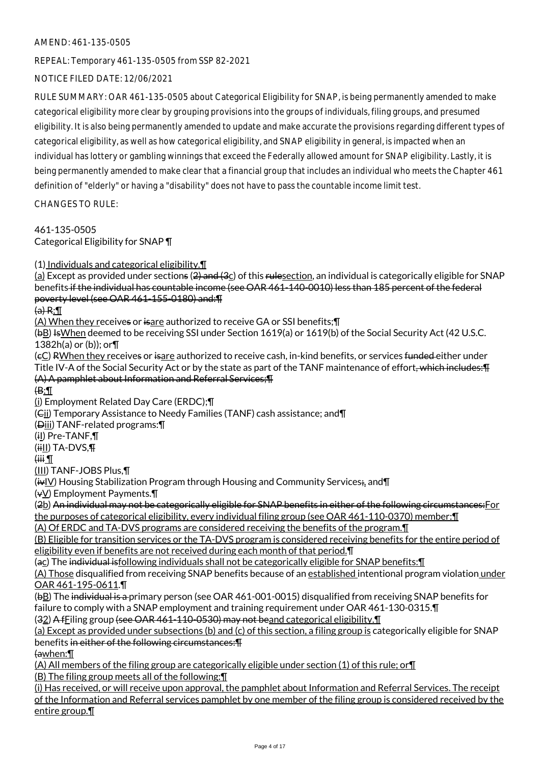## AMEND: 461-135-0505

REPEAL: Temporary 461-135-0505 from SSP 82-2021

NOTICE FILED DATE: 12/06/2021

RULE SUMMARY: OAR 461-135-0505 about Categorical Eligibility for SNAP, is being permanently amended to make categorical eligibility more clear by grouping provisions into the groups of individuals, filing groups, and presumed eligibility. It is also being permanently amended to update and make accurate the provisions regarding different types of categorical eligibility, as well as how categorical eligibility, and SNAP eligibility in general, is impacted when an individual has lottery or gambling winnings that exceed the Federally allowed amount for SNAP eligibility. Lastly, it is being permanently amended to make clear that a financial group that includes an individual who meets the Chapter 461 definition of "elderly" or having a "disability" does not have to pass the countable income limit test.

CHANGES TO RULE:

461-135-0505 Categorical Eligibility for SNAP ¶

(1) Individuals and categorical eligibility.¶

 $(a)$  Except as provided under sections (2) and (3 $c$ ) of this rulesection, an individual is categorically eligible for SNAP benefits if the individual has countable income (see OAR 461-140-0010) less than 185 percent of the federal poverty level (see OAR 461-155-0180) and:¶

 $(a) R: \mathbb{T}$ 

(A) When they receives or isare authorized to receive GA or SSI benefits;¶

(bB) IsWhen deemed to be receiving SSI under Section 1619(a) or 1619(b) of the Social Security Act (42 U.S.C. 1382h(a) or (b)); or¶

(cC) RWhen they receives or isare authorized to receive cash, in-kind benefits, or services funded either under Title IV-A of the Social Security Act or by the state as part of the TANF maintenance of effort, which includes: T (A) A pamphlet about Information and Referral Services;¶

 $\bigoplus$ :

(i) Employment Related Day Care (ERDC);¶

(Cii) Temporary Assistance to Needy Families (TANF) cash assistance; and¶

(Diii) TANF-related programs:¶

(iI) Pre-TANF,¶

 $(iii)$  TA-DVS, $\P$ 

 $\overline{H}$  iiii

(III) TANF-JOBS Plus,¶

(ivIV) Housing Stabilization Program through Housing and Community Services;, and¶

(vV) Employment Payments.¶

(2b) An individual may not be categorically eligible for SNAP benefits in either of the following circumstances:For the purposes of categorical eligibility, every individual filing group (see OAR 461-110-0370) member:¶

(A) Of ERDC and TA-DVS programs are considered receiving the benefits of the program.¶

(B) Eligible for transition services or the TA-DVS program is considered receiving benefits for the entire period of eligibility even if benefits are not received during each month of that period.¶

(ac) The individual isfollowing individuals shall not be categorically eligible for SNAP benefits:¶

(A) Those disqualified from receiving SNAP benefits because of an established intentional program violation under OAR 461-195-0611.¶

(bB) The individual is a primary person (see OAR 461-001-0015) disqualified from receiving SNAP benefits for failure to comply with a SNAP employment and training requirement under OAR 461-130-0315.¶

(32) A fFiling group (see OAR 461-110-0530) may not beand categorical eligibility.¶

(a) Except as provided under subsections (b) and (c) of this section, a filing group is categorically eligible for SNAP benefits in either of the following circumstances:¶

(awhen:¶

(A) All members of the filing group are categorically eligible under section (1) of this rule; or¶

(B) The filing group meets all of the following:¶

(i) Has received, or will receive upon approval, the pamphlet about Information and Referral Services. The receipt of the Information and Referral services pamphlet by one member of the filing group is considered received by the entire group.¶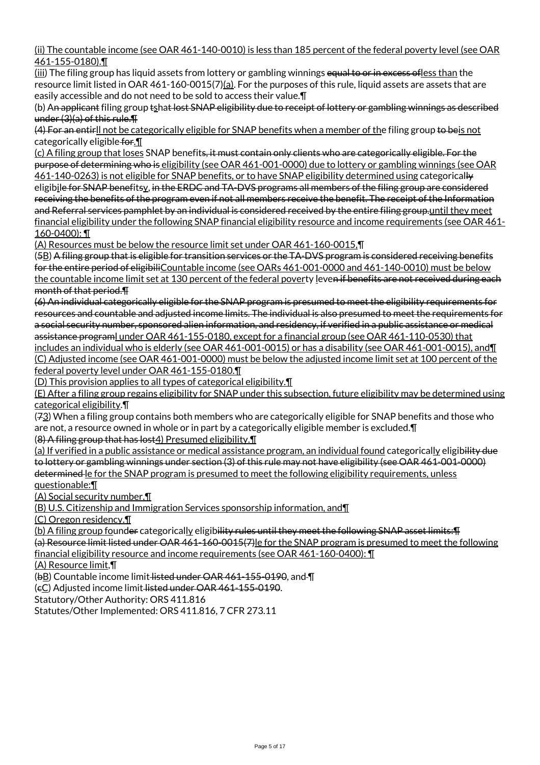(ii) The countable income (see OAR 461-140-0010) is less than 185 percent of the federal poverty level (see OAR 461-155-0180).¶

(iii) The filing group has liquid assets from lottery or gambling winnings equal to or in excess of less than the resource limit listed in OAR 461-160-0015(7)(a). For the purposes of this rule, liquid assets are assets that are easily accessible and do not need to be sold to access their value.¶

(b) An applicant filing group tshat lost SNAP eligibility due to receipt of lottery or gambling winnings as described under (3)(a) of this rule.¶

(4) For an entirll not be categorically eligible for SNAP benefits when a member of the filing group to beis not categorically eligible for.  $\P$ 

(c) A filing group that loses SNAP benefits, it must contain only clients who are categorically eligible. For the purpose of determining who is eligibility (see OAR 461-001-0000) due to lottery or gambling winnings (see OAR 461-140-0263) is not eligible for SNAP benefits, or to have SNAP eligibility determined using categorically eligibile for SNAP benefitsy, in the ERDC and TA-DVS programs all members of the filing group are considered receiving the benefits of the program even if not all members receive the benefit. The receipt of the Information and Referral services pamphlet by an individual is considered received by the entire filing group.until they meet financial eligibility under the following SNAP financial eligibility resource and income requirements (see OAR 461- 160-0400): ¶

(A) Resources must be below the resource limit set under OAR 461-160-0015,¶

(5B) A filing group that is eligible for transition services or the TA-DVS program is considered receiving benefits for the entire period of eligibiliCountable income (see OARs 461-001-0000 and 461-140-0010) must be below the countable income limit set at 130 percent of the federal poverty leven if benefits are not received during each month of that period.¶

(6) An individual categorically eligible for the SNAP program is presumed to meet the eligibility requirements for resources and countable and adjusted income limits. The individual is also presumed to meet the requirements for a social security number, sponsored alien information, and residency, if verified in a public assistance or medical assistance programl under OAR 461-155-0180, except for a financial group (see OAR 461-110-0530) that includes an individual who is elderly (see OAR 461-001-0015) or has a disability (see OAR 461-001-0015), and¶ (C) Adjusted income (see OAR 461-001-0000) must be below the adjusted income limit set at 100 percent of the

federal poverty level under OAR 461-155-0180.¶ (D) This provision applies to all types of categorical eligibility.¶

(E) After a filing group regains eligibility for SNAP under this subsection, future eligibility may be determined using categorical eligibility.¶

 $(73)$  When a filing group contains both members who are categorically eligible for SNAP benefits and those who are not, a resource owned in whole or in part by a categorically eligible member is excluded.¶

(8) A filing group that has lost4) Presumed eligibility.¶

(a) If verified in a public assistance or medical assistance program, an individual found categorically eligibility due to lottery or gambling winnings under section (3) of this rule may not have eligibility (see OAR 461-001-0000) determined le for the SNAP program is presumed to meet the following eligibility requirements, unless questionable:¶

(A) Social security number,¶

(B) U.S. Citizenship and Immigration Services sponsorship information, and¶

(C) Oregon residency.¶

(b) A filing group founder categorically eligibility rules until they meet the following SNAP asset limits:  $\text{T}$ 

(a) Resource limit listed under OAR 461-160-0015(7)le for the SNAP program is presumed to meet the following financial eligibility resource and income requirements (see OAR 461-160-0400): ¶

(A) Resource limit,¶

(bB) Countable income limit listed under OAR 461-155-0190, and ¶

(cC) Adjusted income limit listed under OAR 461-155-0190.

Statutory/Other Authority: ORS 411.816

Statutes/Other Implemented: ORS 411.816, 7 CFR 273.11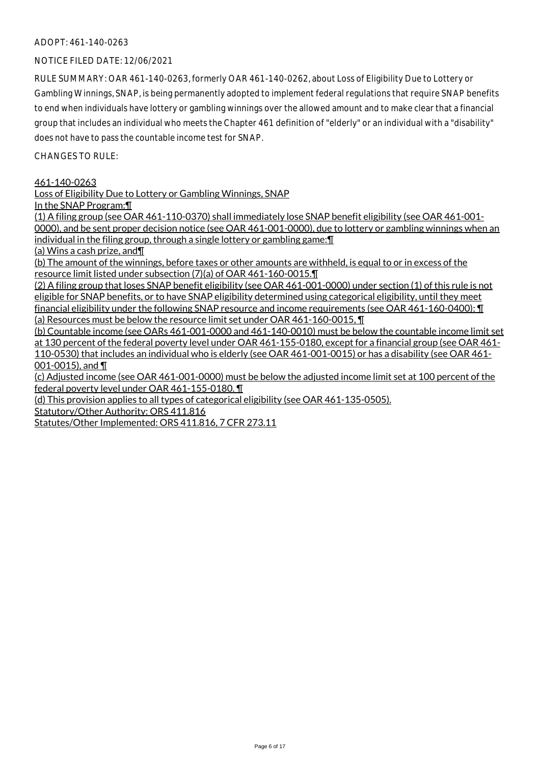## ADOPT: 461-140-0263

## NOTICE FILED DATE: 12/06/2021

RULE SUMMARY: OAR 461-140-0263, formerly OAR 461-140-0262, about Loss of Eligibility Due to Lottery or Gambling Winnings, SNAP, is being permanently adopted to implement federal regulations that require SNAP benefits to end when individuals have lottery or gambling winnings over the allowed amount and to make clear that a financial group that includes an individual who meets the Chapter 461 definition of "elderly" or an individual with a "disability" does not have to pass the countable income test for SNAP.

 $CHANGESTORUIF$ 

#### 461-140-0263

Loss of Eligibility Due to Lottery or Gambling Winnings, SNAP

In the SNAP Program:¶

(1) A filing group (see OAR 461-110-0370) shall immediately lose SNAP benefit eligibility (see OAR 461-001- 0000), and be sent proper decision notice (see OAR 461-001-0000), due to lottery or gambling winnings when an individual in the filing group, through a single lottery or gambling game:¶

(a) Wins a cash prize, and¶

(b) The amount of the winnings, before taxes or other amounts are withheld, is equal to or in excess of the resource limit listed under subsection (7)(a) of OAR 461-160-0015.¶

(2) A filing group that loses SNAP benefit eligibility (see OAR 461-001-0000) under section (1) of this rule is not eligible for SNAP benefits, or to have SNAP eligibility determined using categorical eligibility, until they meet financial eligibility under the following SNAP resource and income requirements (see OAR 461-160-0400): ¶ (a) Resources must be below the resource limit set under OAR 461-160-0015, ¶

(b) Countable income (see OARs 461-001-0000 and 461-140-0010) must be below the countable income limit set at 130 percent of the federal poverty level under OAR 461-155-0180, except for a financial group (see OAR 461- 110-0530) that includes an individual who is elderly (see OAR 461-001-0015) or has a disability (see OAR 461- 001-0015), and ¶

(c) Adjusted income (see OAR 461-001-0000) must be below the adjusted income limit set at 100 percent of the federal poverty level under OAR 461-155-0180. ¶

(d) This provision applies to all types of categorical eligibility (see OAR 461-135-0505).

Statutory/Other Authority: ORS 411.816

Statutes/Other Implemented: ORS 411.816, 7 CFR 273.11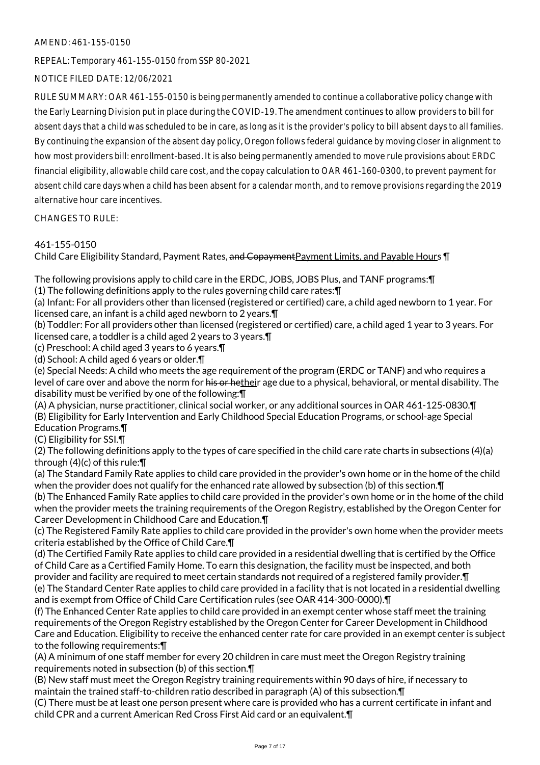## AMEND: 461-155-0150

REPEAL: Temporary 461-155-0150 from SSP 80-2021

## NOTICE FILED DATE: 12/06/2021

RULE SUMMARY: OAR 461-155-0150 is being permanently amended to continue a collaborative policy change with the Early Learning Division put in place during the COVID-19. The amendment continues to allow providers to bill for absent days that a child was scheduled to be in care, as long as it is the provider's policy to bill absent days to all families. By continuing the expansion of the absent day policy, Oregon follows federal guidance by moving closer in alignment to how most providers bill: enrollment-based. It is also being permanently amended to move rule provisions about ERDC financial eligibility, allowable child care cost, and the copay calculation to OAR 461-160-0300, to prevent payment for absent child care days when a child has been absent for a calendar month, and to remove provisions regarding the 2019 alternative hour care incentives.

CHANGES TO RULE:

## 461-155-0150

Child Care Eligibility Standard, Payment Rates, and Copayment Payment Limits, and Payable Hours ¶

The following provisions apply to child care in the ERDC, JOBS, JOBS Plus, and TANF programs:¶

(1) The following definitions apply to the rules governing child care rates:¶

(a) Infant: For all providers other than licensed (registered or certified) care, a child aged newborn to 1 year. For licensed care, an infant is a child aged newborn to 2 years.¶

(b) Toddler: For all providers other than licensed (registered or certified) care, a child aged 1 year to 3 years. For licensed care, a toddler is a child aged 2 years to 3 years.¶

(c) Preschool: A child aged 3 years to 6 years.¶

(d) School: A child aged 6 years or older.¶

(e) Special Needs: A child who meets the age requirement of the program (ERDC or TANF) and who requires a level of care over and above the norm for his or hetheir age due to a physical, behavioral, or mental disability. The disability must be verified by one of the following:¶

(A) A physician, nurse practitioner, clinical social worker, or any additional sources in OAR 461-125-0830.¶ (B) Eligibility for Early Intervention and Early Childhood Special Education Programs, or school-age Special Education Programs.¶

(C) Eligibility for SSI.¶

(2) The following definitions apply to the types of care specified in the child care rate charts in subsections (4)(a) through (4)(c) of this rule:¶

(a) The Standard Family Rate applies to child care provided in the provider's own home or in the home of the child when the provider does not qualify for the enhanced rate allowed by subsection (b) of this section. [I]

(b) The Enhanced Family Rate applies to child care provided in the provider's own home or in the home of the child when the provider meets the training requirements of the Oregon Registry, established by the Oregon Center for Career Development in Childhood Care and Education.¶

(c) The Registered Family Rate applies to child care provided in the provider's own home when the provider meets criteria established by the Office of Child Care.¶

(d) The Certified Family Rate applies to child care provided in a residential dwelling that is certified by the Office of Child Care as a Certified Family Home. To earn this designation, the facility must be inspected, and both provider and facility are required to meet certain standards not required of a registered family provider.¶ (e) The Standard Center Rate applies to child care provided in a facility that is not located in a residential dwelling and is exempt from Office of Child Care Certification rules (see OAR 414-300-0000).¶

(f) The Enhanced Center Rate applies to child care provided in an exempt center whose staff meet the training requirements of the Oregon Registry established by the Oregon Center for Career Development in Childhood Care and Education. Eligibility to receive the enhanced center rate for care provided in an exempt center is subject to the following requirements:¶

(A) A minimum of one staff member for every 20 children in care must meet the Oregon Registry training requirements noted in subsection (b) of this section.¶

(B) New staff must meet the Oregon Registry training requirements within 90 days of hire, if necessary to maintain the trained staff-to-children ratio described in paragraph (A) of this subsection.¶

(C) There must be at least one person present where care is provided who has a current certificate in infant and child CPR and a current American Red Cross First Aid card or an equivalent.¶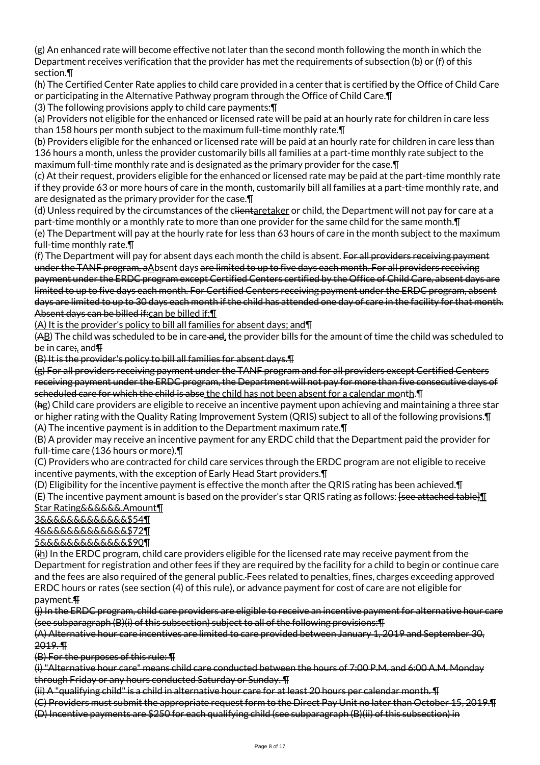(g) An enhanced rate will become effective not later than the second month following the month in which the Department receives verification that the provider has met the requirements of subsection (b) or (f) of this section.¶

(h) The Certified Center Rate applies to child care provided in a center that is certified by the Office of Child Care or participating in the Alternative Pathway program through the Office of Child Care.¶

(3) The following provisions apply to child care payments:¶

(a) Providers not eligible for the enhanced or licensed rate will be paid at an hourly rate for children in care less than 158 hours per month subject to the maximum full-time monthly rate.¶

(b) Providers eligible for the enhanced or licensed rate will be paid at an hourly rate for children in care less than 136 hours a month, unless the provider customarily bills all families at a part-time monthly rate subject to the maximum full-time monthly rate and is designated as the primary provider for the case.¶

(c) At their request, providers eligible for the enhanced or licensed rate may be paid at the part-time monthly rate if they provide 63 or more hours of care in the month, customarily bill all families at a part-time monthly rate, and are designated as the primary provider for the case.¶

(d) Unless required by the circumstances of the clientaretaker or child, the Department will not pay for care at a part-time monthly or a monthly rate to more than one provider for the same child for the same month.¶ (e) The Department will pay at the hourly rate for less than 63 hours of care in the month subject to the maximum full-time monthly rate.¶

(f) The Department will pay for absent days each month the child is absent. For all providers receiving payment under the TANF program, aAbsent days are limited to up to five days each month. For all providers receiving payment under the ERDC program except Certified Centers certified by the Office of Child Care, absent days are limited to up to five days each month. For Certified Centers receiving payment under the ERDC program, absent days are limited to up to 30 days each month if the child has attended one day of care in the facility for that month. Absent days can be billed if: can be billed if: [1]

(A) It is the provider's policy to bill all families for absent days; and¶

(AB) The child was scheduled to be in care and, the provider bills for the amount of time the child was scheduled to be in care;, and¶

(B) It is the provider's policy to bill all families for absent days.¶

(g) For all providers receiving payment under the TANF program and for all providers except Certified Centers receiving payment under the ERDC program, the Department will not pay for more than five consecutive days of scheduled care for which the child is abse the child has not been absent for a calendar month. I

(hg) Child care providers are eligible to receive an incentive payment upon achieving and maintaining a three star or higher rating with the Quality Rating Improvement System (QRIS) subject to all of the following provisions.¶ (A) The incentive payment is in addition to the Department maximum rate.¶

(B) A provider may receive an incentive payment for any ERDC child that the Department paid the provider for full-time care (136 hours or more).¶

(C) Providers who are contracted for child care services through the ERDC program are not eligible to receive incentive payments, with the exception of Early Head Start providers.¶

(D) Eligibility for the incentive payment is effective the month after the QRIS rating has been achieved.¶

(E) The incentive payment amount is based on the provider's star QRIS rating as follows: <del>[see attached table]</del> Star Rating&&&&&&.Amount¶

3&&&&&&&&&&&&&\$54¶

4&&&&&&&&&&&&&\$72¶

5&&&&&&&&&&&&&\$90¶

 $(i<sub>h</sub>)$  In the ERDC program, child care providers eligible for the licensed rate may receive payment from the Department for registration and other fees if they are required by the facility for a child to begin or continue care and the fees are also required of the general public. Fees related to penalties, fines, charges exceeding approved ERDC hours or rates (see section (4) of this rule), or advance payment for cost of care are not eligible for payment.¶

(j) In the ERDC program, child care providers are eligible to receive an incentive payment for alternative hour care (see subparagraph (B)(i) of this subsection) subject to all of the following provisions:¶

(A) Alternative hour care incentives are limited to care provided between January 1, 2019 and September 30, 2019. ¶

(B) For the purposes of this rule: ¶

(i) "Alternative hour care" means child care conducted between the hours of 7:00 P.M. and 6:00 A.M. Monday through Friday or any hours conducted Saturday or Sunday. ¶

(ii) A "qualifying child" is a child in alternative hour care for at least 20 hours per calendar month. ¶

(C) Providers must submit the appropriate request form to the Direct Pay Unit no later than October 15, 2019.¶

(D) Incentive payments are \$250 for each qualifying child (see subparagraph (B)(ii) of this subsection) in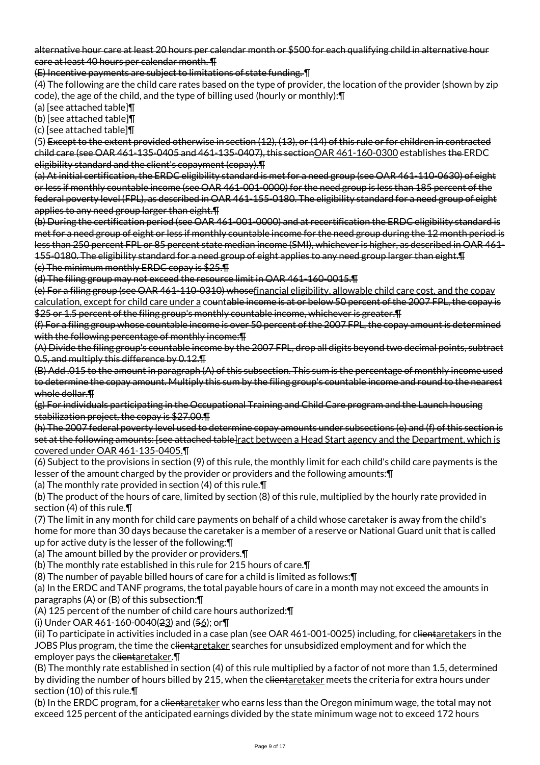alternative hour care at least 20 hours per calendar month or \$500 for each qualifying child in alternative hour care at least 40 hours per calendar month. ¶

(E) Incentive payments are subject to limitations of state funding. ¶

(4) The following are the child care rates based on the type of provider, the location of the provider (shown by zip code), the age of the child, and the type of billing used (hourly or monthly):¶

(a) [see attached table]¶

(b) [see attached table]¶

(c) [see attached table]¶

(5) Except to the extent provided otherwise in section (12), (13), or (14) of this rule or for children in contracted child care (see OAR 461-135-0405 and 461-135-0407), this sectionOAR 461-160-0300 establishes the ERDC eligibility standard and the client's copayment (copay).¶

(a) At initial certification, the ERDC eligibility standard is met for a need group (see OAR 461-110-0630) of eight or less if monthly countable income (see OAR 461-001-0000) for the need group is less than 185 percent of the federal poverty level (FPL), as described in OAR 461-155-0180. The eligibility standard for a need group of eight applies to any need group larger than eight.¶

(b) During the certification period (see OAR 461-001-0000) and at recertification the ERDC eligibility standard is met for a need group of eight or less if monthly countable income for the need group during the 12 month period is less than 250 percent FPL or 85 percent state median income (SMI), whichever is higher, as described in OAR 461- 155-0180. The eligibility standard for a need group of eight applies to any need group larger than eight.¶ (c) The minimum monthly ERDC copay is \$25.¶

(d) The filing group may not exceed the resource limit in OAR 461-160-0015.¶

(e) For a filing group (see OAR 461-110-0310) whosefinancial eligibility, allowable child care cost, and the copay calculation, except for child care under a countable income is at or below 50 percent of the 2007 FPL, the copay is \$25 or 1.5 percent of the filing group's monthly countable income, whichever is greater. The

(f) For a filing group whose countable income is over 50 percent of the 2007 FPL, the copay amount is determined with the following percentage of monthly income: T

(A) Divide the filing group's countable income by the 2007 FPL, drop all digits beyond two decimal points, subtract 0.5, and multiply this difference by 0.12.¶

(B) Add .015 to the amount in paragraph (A) of this subsection. This sum is the percentage of monthly income used to determine the copay amount. Multiply this sum by the filing group's countable income and round to the nearest whole dollar.¶

(g) For individuals participating in the Occupational Training and Child Care program and the Launch housing stabilization project, the copay is \$27.00.¶

- (h) The 2007 federal poverty level used to determine copay amounts under subsections (e) and (f) of this section is set at the following amounts: [see attached table]ract between a Head Start agency and the Department, which is covered under OAR 461-135-0405.¶
- (6) Subject to the provisions in section (9) of this rule, the monthly limit for each child's child care payments is the lesser of the amount charged by the provider or providers and the following amounts:¶

(a) The monthly rate provided in section (4) of this rule.¶

(b) The product of the hours of care, limited by section (8) of this rule, multiplied by the hourly rate provided in section (4) of this rule.¶

(7) The limit in any month for child care payments on behalf of a child whose caretaker is away from the child's home for more than 30 days because the caretaker is a member of a reserve or National Guard unit that is called up for active duty is the lesser of the following:¶

(a) The amount billed by the provider or providers.¶

(b) The monthly rate established in this rule for 215 hours of care.¶

(8) The number of payable billed hours of care for a child is limited as follows:¶

(a) In the ERDC and TANF programs, the total payable hours of care in a month may not exceed the amounts in paragraphs (A) or (B) of this subsection:¶

(A) 125 percent of the number of child care hours authorized:¶

(i) Under OAR 461-160-0040(23) and (56); or¶

(ii) To participate in activities included in a case plan (see OAR 461-001-0025) including, for clientaretakers in the JOBS Plus program, the time the clientaretaker searches for unsubsidized employment and for which the employer pays the clientaretaker.

(B) The monthly rate established in section (4) of this rule multiplied by a factor of not more than 1.5, determined by dividing the number of hours billed by 215, when the clientaretaker meets the criteria for extra hours under section (10) of this rule.¶

(b) In the ERDC program, for a c<del>lientaretaker</del> who earns less than the Oregon minimum wage, the total may not exceed 125 percent of the anticipated earnings divided by the state minimum wage not to exceed 172 hours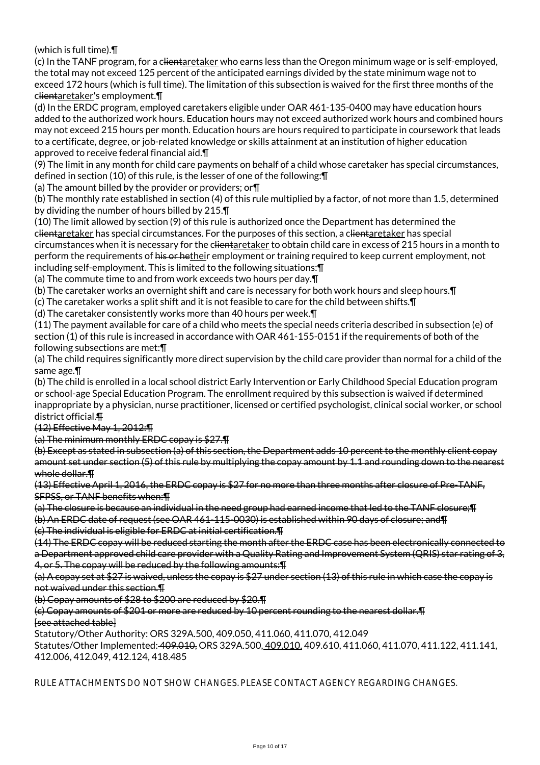(which is full time).¶

(c) In the TANF program, for a clientaretaker who earns less than the Oregon minimum wage or is self-employed, the total may not exceed 125 percent of the anticipated earnings divided by the state minimum wage not to exceed 172 hours (which is full time). The limitation of this subsection is waived for the first three months of the clientaretaker's employment.¶

(d) In the ERDC program, employed caretakers eligible under OAR 461-135-0400 may have education hours added to the authorized work hours. Education hours may not exceed authorized work hours and combined hours may not exceed 215 hours per month. Education hours are hours required to participate in coursework that leads to a certificate, degree, or job-related knowledge or skills attainment at an institution of higher education approved to receive federal financial aid.¶

(9) The limit in any month for child care payments on behalf of a child whose caretaker has special circumstances, defined in section (10) of this rule, is the lesser of one of the following:¶

(a) The amount billed by the provider or providers; or¶

(b) The monthly rate established in section (4) of this rule multiplied by a factor, of not more than 1.5, determined by dividing the number of hours billed by 215.¶

(10) The limit allowed by section (9) of this rule is authorized once the Department has determined the clientaretaker has special circumstances. For the purposes of this section, a clientaretaker has special circumstances when it is necessary for the clientaretaker to obtain child care in excess of 215 hours in a month to perform the requirements of his or hetheir employment or training required to keep current employment, not including self-employment. This is limited to the following situations:¶

(a) The commute time to and from work exceeds two hours per day.¶

(b) The caretaker works an overnight shift and care is necessary for both work hours and sleep hours.¶

(c) The caretaker works a split shift and it is not feasible to care for the child between shifts.¶

(d) The caretaker consistently works more than 40 hours per week.¶

(11) The payment available for care of a child who meets the special needs criteria described in subsection (e) of section (1) of this rule is increased in accordance with OAR 461-155-0151 if the requirements of both of the following subsections are met:¶

(a) The child requires significantly more direct supervision by the child care provider than normal for a child of the same age.¶

(b) The child is enrolled in a local school district Early Intervention or Early Childhood Special Education program or school-age Special Education Program. The enrollment required by this subsection is waived if determined inappropriate by a physician, nurse practitioner, licensed or certified psychologist, clinical social worker, or school district official.¶

(12) Effective May 1, 2012:¶

(a) The minimum monthly ERDC copay is \$27.¶

(b) Except as stated in subsection (a) of this section, the Department adds 10 percent to the monthly client copay amount set under section (5) of this rule by multiplying the copay amount by 1.1 and rounding down to the nearest whole dollar.¶

(13) Effective April 1, 2016, the ERDC copay is \$27 for no more than three months after closure of Pre-TANF, SFPSS, or TANF benefits when:¶

(a) The closure is because an individual in the need group had earned income that led to the TANF closure;¶ (b) An ERDC date of request (see OAR 461-115-0030) is established within 90 days of closure; and¶ (c) The individual is eligible for ERDC at initial certification.¶

(14) The ERDC copay will be reduced starting the month after the ERDC case has been electronically connected to a Department approved child care provider with a Quality Rating and Improvement System (QRIS) star rating of 3, 4, or 5. The copay will be reduced by the following amounts:¶

(a) A copay set at \$27 is waived, unless the copay is \$27 under section (13) of this rule in which case the copay is not waived under this section.¶

(b) Copay amounts of \$28 to \$200 are reduced by \$20.¶

(c) Copay amounts of \$201 or more are reduced by 10 percent rounding to the nearest dollar.¶ [see attached table]

Statutory/Other Authority: ORS 329A.500, 409.050, 411.060, 411.070, 412.049

Statutes/Other Implemented: 409.010, ORS 329A.500, 409.010, 409.610, 411.060, 411.070, 411.122, 411.141, 412.006, 412.049, 412.124, 418.485

RULE ATTACHMENTS DO NOT SHOW CHANGES. PLEASE CONTACT AGENCY REGARDING CHANGES.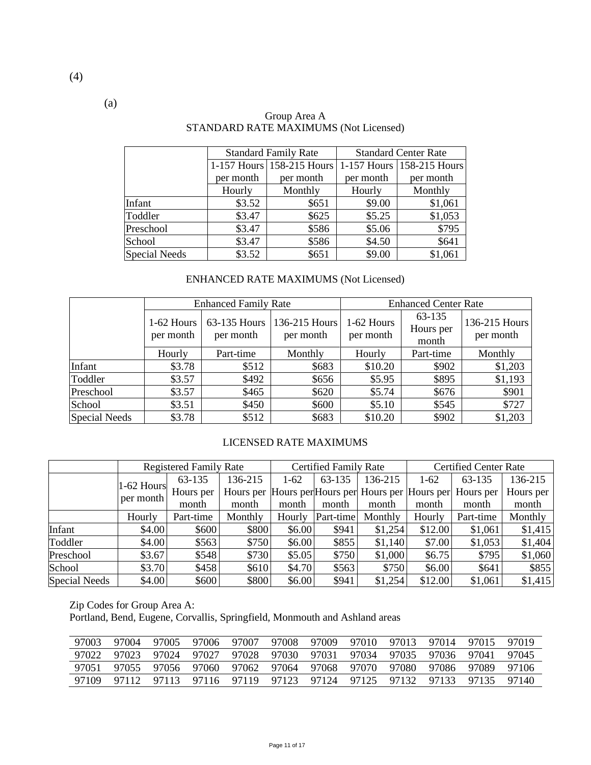|                      |           | <b>Standard Family Rate</b> |           | <b>Standard Center Rate</b> |
|----------------------|-----------|-----------------------------|-----------|-----------------------------|
|                      |           | 1-157 Hours 158-215 Hours   |           | 1-157 Hours 158-215 Hours   |
|                      | per month | per month                   | per month | per month                   |
|                      | Hourly    | Monthly                     | Hourly    | Monthly                     |
| Infant               | \$3.52    | \$651                       | \$9.00    | \$1,061                     |
| Toddler              | \$3.47    | \$625                       | \$5.25    | \$1,053                     |
| Preschool            | \$3.47    | \$586                       | \$5.06    | \$795                       |
| School               | \$3.47    | \$586                       | \$4.50    | \$641                       |
| <b>Special Needs</b> | \$3.52    | \$651                       | \$9.00    | \$1,061                     |

#### Group Area A STANDARD RATE MAXIMUMS (Not Licensed)

## ENHANCED RATE MAXIMUMS (Not Licensed)

|               |                         | <b>Enhanced Family Rate</b> |                            | <b>Enhanced Center Rate</b> |                              |                            |  |
|---------------|-------------------------|-----------------------------|----------------------------|-----------------------------|------------------------------|----------------------------|--|
|               | 1-62 Hours<br>per month | 63-135 Hours<br>per month   | 136-215 Hours<br>per month | 1-62 Hours<br>per month     | 63-135<br>Hours per<br>month | 136-215 Hours<br>per month |  |
|               | Hourly                  | Part-time                   | Monthly                    | Hourly                      | Part-time                    | Monthly                    |  |
| Infant        | \$3.78                  | \$512                       | \$683                      | \$10.20                     | \$902                        | \$1,203                    |  |
| Toddler       | \$3.57                  | \$492                       | \$656                      | \$5.95                      | \$895                        | \$1,193                    |  |
| Preschool     | \$3.57                  | \$465                       | \$620                      | \$5.74                      | \$676                        | \$901                      |  |
| School        | \$3.51                  | \$450                       | \$600                      | \$5.10                      | \$545                        | \$727                      |  |
| Special Needs | \$3.78                  | \$512                       | \$683                      | \$10.20                     | \$902                        | \$1,203                    |  |

## LICENSED RATE MAXIMUMS

|                      |              | <b>Registered Family Rate</b> |         |        | <b>Certified Family Rate</b> |         |         | <b>Certified Center Rate</b>                                |           |  |
|----------------------|--------------|-------------------------------|---------|--------|------------------------------|---------|---------|-------------------------------------------------------------|-----------|--|
|                      | $1-62$ Hours | 63-135                        | 136-215 | $1-62$ | 63-135                       | 136-215 | $1-62$  | 63-135                                                      | 136-215   |  |
|                      | per month    | Hours per                     |         |        |                              |         |         | Hours per Hours per Hours per Hours per Hours per Hours per | Hours per |  |
|                      |              | month                         | month   | month  | month                        | month   | month   | month                                                       | month     |  |
|                      | Hourly       | Part-time                     | Monthly | Hourly | Part-time                    | Monthly | Hourly  | Part-time                                                   | Monthly   |  |
| Infant               | \$4.00       | \$600                         | \$800   | \$6.00 | \$941                        | \$1,254 | \$12.00 | \$1,061                                                     | \$1,415   |  |
| Toddler              | \$4.00       | \$563                         | \$750   | \$6.00 | \$855                        | \$1,140 | \$7.00  | \$1,053                                                     | \$1,404   |  |
| Preschool            | \$3.67       | \$548                         | \$730   | \$5.05 | \$750                        | \$1,000 | \$6.75  | \$795                                                       | \$1,060   |  |
| School               | \$3.70       | \$458                         | \$610   | \$4.70 | \$563                        | \$750   | \$6.00  | \$641                                                       | \$855     |  |
| <b>Special Needs</b> | \$4.00       | \$600                         | \$800   | \$6.00 | \$941                        | \$1,254 | \$12.00 | \$1,061                                                     | \$1,415   |  |

Zip Codes for Group Area A:

Portland, Bend, Eugene, Corvallis, Springfield, Monmouth and Ashland areas

| 97003 | 97004 | 97005 | 97006 | 97007                   | 97008 | 97009 | 97010 | 97013 | 97014 | 97015 | 97019 |
|-------|-------|-------|-------|-------------------------|-------|-------|-------|-------|-------|-------|-------|
| 97022 | 97023 | 97024 | 97027 | 97028 97030             |       | 97031 | 97034 | 97035 | 97036 | 97041 | 97045 |
| 97051 | 97055 | 97056 |       | 97060 97062 97064       |       | 97068 | 97070 | 97080 | 97086 | 97089 | 97106 |
| 97109 | 97112 | 97113 |       | 97116 97119 97123 97124 |       |       | 97125 | 97132 | 97133 | 97135 | 97140 |

(a)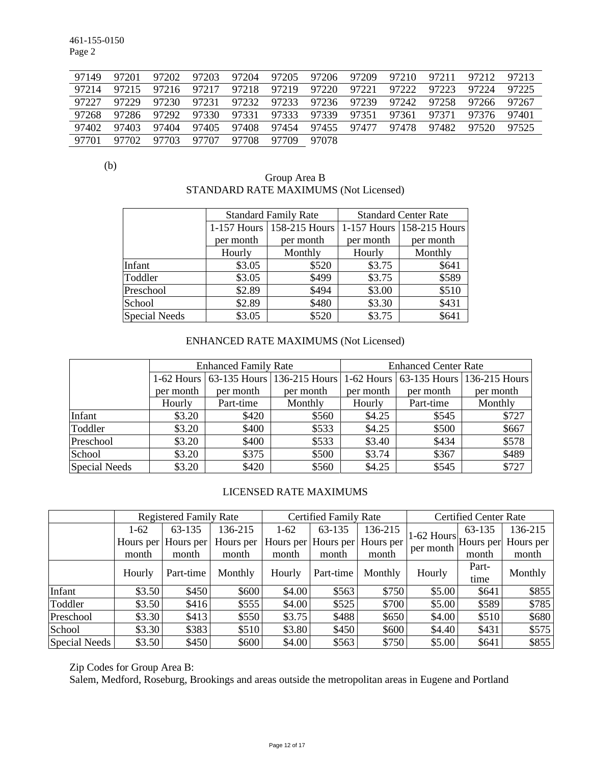461-155-0150 Page 2

| 97149 | 97201 | 97202 | 97203 | 97204 | 97205 | 97206 | 97209 | 97210 | 97211 | 97212 | 97213 |
|-------|-------|-------|-------|-------|-------|-------|-------|-------|-------|-------|-------|
| 97214 | 97215 | 97216 | 97217 | 97218 | 97219 | 97220 | 97221 | 97222 | 97223 | 97224 | 97225 |
| 97227 | 97229 | 97230 | 97231 | 97232 | 97233 | 97236 | 97239 | 97242 | 97258 | 97266 | 97267 |
| 97268 | 97286 | 97292 | 97330 | 97331 | 97333 | 97339 | 97351 | 97361 | 97371 | 97376 | 97401 |
| 97402 | 97403 | 97404 | 97405 | 97408 | 97454 | 97455 | 97477 | 97478 | 97482 | 97520 | 97525 |
| 97701 | 97702 | 97703 | 97707 | 97708 | 97709 | 97078 |       |       |       |       |       |

(b)

## Group Area B STANDARD RATE MAXIMUMS (Not Licensed)

|                      |           | <b>Standard Family Rate</b> |           | <b>Standard Center Rate</b>   |
|----------------------|-----------|-----------------------------|-----------|-------------------------------|
|                      |           | 1-157 Hours   158-215 Hours |           | $1-157$ Hours   158-215 Hours |
|                      | per month | per month                   | per month | per month                     |
|                      | Hourly    | Monthly                     | Hourly    | Monthly                       |
| Infant               | \$3.05    | \$520                       | \$3.75    | \$641                         |
| Toddler              | \$3.05    | \$499                       | \$3.75    | \$589                         |
| Preschool            | \$2.89    | \$494                       | \$3.00    | \$510                         |
| School               | \$2.89    | \$480                       | \$3.30    | \$431                         |
| <b>Special Needs</b> | \$3.05    | \$520                       | \$3.75    | \$641                         |

## ENHANCED RATE MAXIMUMS (Not Licensed)

|                      |           | <b>Enhanced Family Rate</b> |                                       | <b>Enhanced Center Rate</b> |           |                                       |  |
|----------------------|-----------|-----------------------------|---------------------------------------|-----------------------------|-----------|---------------------------------------|--|
|                      |           |                             | 1-62 Hours 63-135 Hours 136-215 Hours |                             |           | 1-62 Hours 63-135 Hours 136-215 Hours |  |
|                      | per month | per month                   | per month                             | per month                   | per month | per month                             |  |
|                      | Hourly    | Part-time                   | Monthly                               | Hourly                      | Part-time | Monthly                               |  |
| Infant               | \$3.20    | \$420                       | \$560                                 | \$4.25                      | \$545     | \$727                                 |  |
| Toddler              | \$3.20    | \$400                       | \$533                                 | \$4.25                      | \$500     | \$667                                 |  |
| Preschool            | \$3.20    | \$400                       | \$533                                 | \$3.40                      | \$434     | \$578                                 |  |
| School               | \$3.20    | \$375                       | \$500                                 | \$3.74                      | \$367     | \$489                                 |  |
| <b>Special Needs</b> | \$3.20    | \$420                       | \$560                                 | \$4.25                      | \$545     | \$727                                 |  |

#### LICENSED RATE MAXIMUMS

|               |        | <b>Registered Family Rate</b> |           |        | <b>Certified Family Rate</b> |           |                                | <b>Certified Center Rate</b> |         |
|---------------|--------|-------------------------------|-----------|--------|------------------------------|-----------|--------------------------------|------------------------------|---------|
|               | $1-62$ | 63-135                        | 136-215   | $1-62$ | 63-135                       | 136-215   |                                | 63-135                       | 136-215 |
|               |        | Hours per Hours per           | Hours per |        | Hours per Hours per          | Hours per | $1^{1-62}$ Hours per Hours per |                              |         |
|               | month  | month                         | month     | month  | month                        | month     | per month                      | month                        | month   |
|               | Hourly | Part-time                     | Monthly   | Hourly | Part-time                    | Monthly   | Hourly                         | Part-                        | Monthly |
|               |        |                               |           |        |                              |           |                                | time                         |         |
| Infant        | \$3.50 | \$450                         | \$600     | \$4.00 | \$563                        | \$750     | \$5.00                         | \$641                        | \$855   |
| Toddler       | \$3.50 | \$416                         | \$555     | \$4.00 | \$525                        | \$700     | \$5.00                         | \$589                        | \$785   |
| Preschool     | \$3.30 | \$413                         | \$550     | \$3.75 | \$488                        | \$650     | \$4.00                         | \$510                        | \$680   |
| School        | \$3.30 | \$383                         | \$510     | \$3.80 | \$450                        | \$600     | \$4.40                         | \$431                        | \$575   |
| Special Needs | \$3.50 | \$450                         | \$600     | \$4.00 | \$563                        | \$750     | \$5.00                         | \$641                        | \$855   |

Zip Codes for Group Area B:

Salem, Medford, Roseburg, Brookings and areas outside the metropolitan areas in Eugene and Portland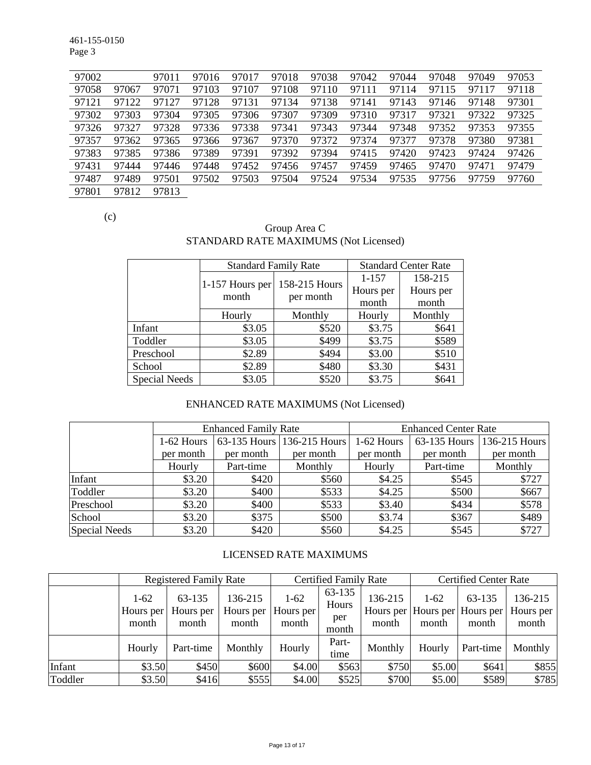461-155-0150 Page 3

| 97002 |       | 97011 | 97016 | 97017 | 97018 | 97038 | 97042 | 97044 | 97048 | 97049 | 97053 |
|-------|-------|-------|-------|-------|-------|-------|-------|-------|-------|-------|-------|
| 97058 | 97067 | 97071 | 97103 | 97107 | 97108 | 97110 | 97111 | 97114 | 97115 | 97117 | 97118 |
| 97121 | 97122 | 97127 | 97128 | 97131 | 97134 | 97138 | 97141 | 97143 | 97146 | 97148 | 97301 |
| 97302 | 97303 | 97304 | 97305 | 97306 | 97307 | 97309 | 97310 | 97317 | 97321 | 97322 | 97325 |
| 97326 | 97327 | 97328 | 97336 | 97338 | 97341 | 97343 | 97344 | 97348 | 97352 | 97353 | 97355 |
| 97357 | 97362 | 97365 | 97366 | 97367 | 97370 | 97372 | 97374 | 97377 | 97378 | 97380 | 97381 |
| 97383 | 97385 | 97386 | 97389 | 97391 | 97392 | 97394 | 97415 | 97420 | 97423 | 97424 | 97426 |
| 97431 | 97444 | 97446 | 97448 | 97452 | 97456 | 97457 | 97459 | 97465 | 97470 | 97471 | 97479 |
| 97487 | 97489 | 97501 | 97502 | 97503 | 97504 | 97524 | 97534 | 97535 | 97756 | 97759 | 97760 |
| 97801 | 97812 | 97813 |       |       |       |       |       |       |       |       |       |

(c)

## Group Area C STANDARD RATE MAXIMUMS (Not Licensed)

|                      | <b>Standard Family Rate</b> |               |           | <b>Standard Center Rate</b> |
|----------------------|-----------------------------|---------------|-----------|-----------------------------|
|                      |                             | 158-215 Hours | $1 - 157$ | 158-215                     |
|                      | 1-157 Hours per<br>month    |               | Hours per | Hours per                   |
|                      |                             | per month     | month     | month                       |
|                      | Hourly                      | Monthly       | Hourly    | Monthly                     |
| Infant               | \$3.05                      | \$520         | \$3.75    | \$641                       |
| Toddler              | \$3.05                      | \$499         | \$3.75    | \$589                       |
| Preschool            | \$2.89                      | \$494         | \$3.00    | \$510                       |
| School               | \$2.89                      | \$480         | \$3.30    | \$431                       |
| <b>Special Needs</b> | \$3.05                      | \$520         | \$3.75    | \$641                       |

## ENHANCED RATE MAXIMUMS (Not Licensed)

|               |            | <b>Enhanced Family Rate</b> |                            | <b>Enhanced Center Rate</b> |              |               |  |
|---------------|------------|-----------------------------|----------------------------|-----------------------------|--------------|---------------|--|
|               | 1-62 Hours |                             | 63-135 Hours 136-215 Hours | 1-62 Hours                  | 63-135 Hours | 136-215 Hours |  |
|               | per month  | per month                   | per month                  | per month                   | per month    | per month     |  |
|               | Hourly     | Part-time                   | Monthly                    | Hourly                      | Part-time    | Monthly       |  |
| Infant        | \$3.20     | \$420                       | \$560                      | \$4.25                      | \$545        | \$727         |  |
| Toddler       | \$3.20     | \$400                       | \$533                      | \$4.25                      | \$500        | \$667         |  |
| Preschool     | \$3.20     | \$400                       | \$533                      | \$3.40                      | \$434        | \$578         |  |
| School        | \$3.20     | \$375                       | \$500                      | \$3.74                      | \$367        | \$489         |  |
| Special Needs | \$3.20     | \$420                       | \$560                      | \$4.25                      | \$545        | \$727         |  |

# LICENSED RATE MAXIMUMS

|         |                              | <b>Registered Family Rate</b> |                               |                                | <b>Certified Family Rate</b>    |                  | <b>Certified Center Rate</b> |                                                  |                               |
|---------|------------------------------|-------------------------------|-------------------------------|--------------------------------|---------------------------------|------------------|------------------------------|--------------------------------------------------|-------------------------------|
|         | $1-62$<br>Hours per<br>month | 63-135<br>Hours per<br>month  | 136-215<br>Hours per<br>month | $1 - 62$<br>Hours per<br>month | 63-135<br>Hours<br>per<br>month | 136-215<br>month | $1-62$<br>month              | 63-135<br>Hours per Hours per Hours per<br>month | 136-215<br>Hours per<br>month |
|         | Hourly                       | Part-time                     | Monthly                       | Hourly                         | Part-<br>time                   | Monthly          | Hourly                       | Part-time                                        | Monthly                       |
| Infant  | \$3.50                       | \$450                         | \$600                         | \$4.00                         | \$563                           | \$750            | \$5.00                       | \$641                                            | \$855                         |
| Toddler | \$3.50                       | \$416                         | \$555                         | \$4.00                         | \$525                           | \$700            | \$5.00                       | \$589                                            | \$785                         |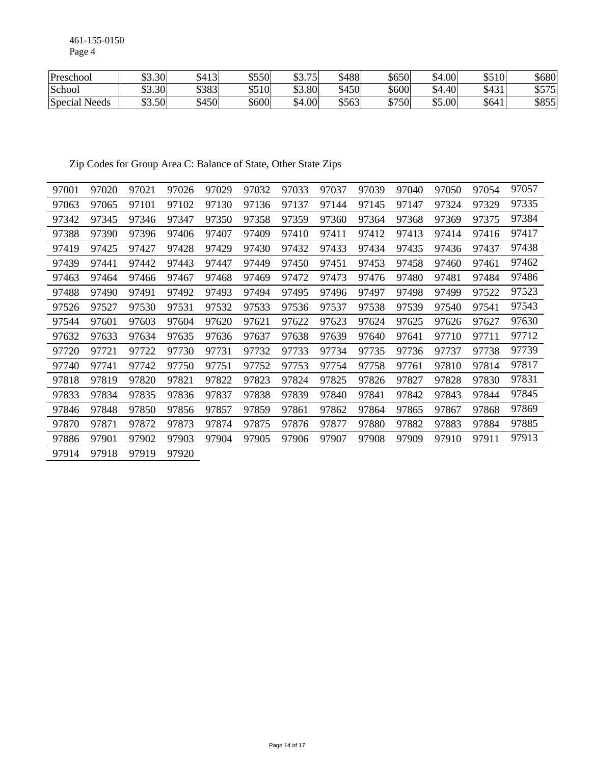461-155-0150 Page 4

| Preschool        | \$3.30 | $\frac{1}{2}413$ | \$550 | 75<br>ሐጣ<br>JJ.IJ | \$488 | \$650 | $+001$<br>ሖ<br>.54 | \$510<br>ΦJ | 680                    |
|------------------|--------|------------------|-------|-------------------|-------|-------|--------------------|-------------|------------------------|
| School           | \$3.30 | \$383            | \$510 | \$3.80            | \$450 | \$600 | 4.40<br>ሖ          | \$431<br>τ  | ሐ <i>ሮግሮ</i><br>ن ر رو |
| Special<br>Needs | \$3.50 | \$450            | \$600 | \$4.00            | \$563 | \$750 | \$5.00             | \$641       | \$855                  |

Zip Codes for Group Area C: Balance of State, Other State Zips

| 97001 | 97020 | 97021 | 97026 | 97029 | 97032 | 97033 | 97037 | 97039 | 97040 | 97050 | 97054 | 97057 |
|-------|-------|-------|-------|-------|-------|-------|-------|-------|-------|-------|-------|-------|
| 97063 | 97065 | 97101 | 97102 | 97130 | 97136 | 97137 | 97144 | 97145 | 97147 | 97324 | 97329 | 97335 |
| 97342 | 97345 | 97346 | 97347 | 97350 | 97358 | 97359 | 97360 | 97364 | 97368 | 97369 | 97375 | 97384 |
| 97388 | 97390 | 97396 | 97406 | 97407 | 97409 | 97410 | 97411 | 97412 | 97413 | 97414 | 97416 | 97417 |
| 97419 | 97425 | 97427 | 97428 | 97429 | 97430 | 97432 | 97433 | 97434 | 97435 | 97436 | 97437 | 97438 |
| 97439 | 97441 | 97442 | 97443 | 97447 | 97449 | 97450 | 97451 | 97453 | 97458 | 97460 | 97461 | 97462 |
| 97463 | 97464 | 97466 | 97467 | 97468 | 97469 | 97472 | 97473 | 97476 | 97480 | 97481 | 97484 | 97486 |
| 97488 | 97490 | 97491 | 97492 | 97493 | 97494 | 97495 | 97496 | 97497 | 97498 | 97499 | 97522 | 97523 |
| 97526 | 97527 | 97530 | 97531 | 97532 | 97533 | 97536 | 97537 | 97538 | 97539 | 97540 | 97541 | 97543 |
| 97544 | 97601 | 97603 | 97604 | 97620 | 97621 | 97622 | 97623 | 97624 | 97625 | 97626 | 97627 | 97630 |
| 97632 | 97633 | 97634 | 97635 | 97636 | 97637 | 97638 | 97639 | 97640 | 97641 | 97710 | 97711 | 97712 |
| 97720 | 97721 | 97722 | 97730 | 97731 | 97732 | 97733 | 97734 | 97735 | 97736 | 97737 | 97738 | 97739 |
| 97740 | 97741 | 97742 | 97750 | 97751 | 97752 | 97753 | 97754 | 97758 | 97761 | 97810 | 97814 | 97817 |
| 97818 | 97819 | 97820 | 97821 | 97822 | 97823 | 97824 | 97825 | 97826 | 97827 | 97828 | 97830 | 97831 |
| 97833 | 97834 | 97835 | 97836 | 97837 | 97838 | 97839 | 97840 | 97841 | 97842 | 97843 | 97844 | 97845 |
| 97846 | 97848 | 97850 | 97856 | 97857 | 97859 | 97861 | 97862 | 97864 | 97865 | 97867 | 97868 | 97869 |
| 97870 | 97871 | 97872 | 97873 | 97874 | 97875 | 97876 | 97877 | 97880 | 97882 | 97883 | 97884 | 97885 |
| 97886 | 97901 | 97902 | 97903 | 97904 | 97905 | 97906 | 97907 | 97908 | 97909 | 97910 | 97911 | 97913 |
| 97914 | 97918 | 97919 | 97920 |       |       |       |       |       |       |       |       |       |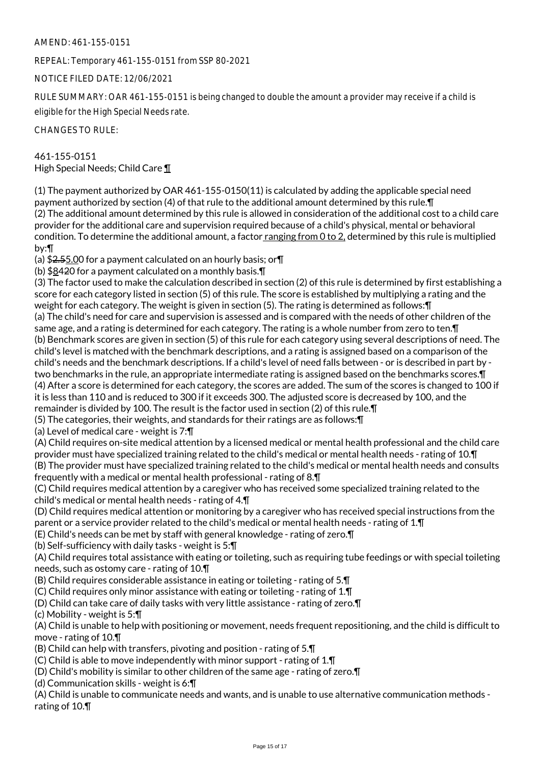## AMEND: 461-155-0151

REPEAL: Temporary 461-155-0151 from SSP 80-2021

NOTICE FILED DATE: 12/06/2021

RULE SUMMARY: OAR 461-155-0151 is being changed to double the amount a provider may receive if a child is eligible for the High Special Needs rate.

CHANGES TO RULE:

461-155-0151 High Special Needs; Child Care ¶

(1) The payment authorized by OAR 461-155-0150(11) is calculated by adding the applicable special need payment authorized by section (4) of that rule to the additional amount determined by this rule.¶ (2) The additional amount determined by this rule is allowed in consideration of the additional cost to a child care provider for the additional care and supervision required because of a child's physical, mental or behavioral condition. To determine the additional amount, a factor ranging from 0 to 2, determined by this rule is multiplied by:¶

(a)  $$2,55.00$  for a payment calculated on an hourly basis; or  $\P$ 

(b) \$8420 for a payment calculated on a monthly basis.¶

(3) The factor used to make the calculation described in section (2) of this rule is determined by first establishing a score for each category listed in section (5) of this rule. The score is established by multiplying a rating and the weight for each category. The weight is given in section (5). The rating is determined as follows:¶ (a) The child's need for care and supervision is assessed and is compared with the needs of other children of the same age, and a rating is determined for each category. The rating is a whole number from zero to ten.¶ (b) Benchmark scores are given in section (5) of this rule for each category using several descriptions of need. The child's level is matched with the benchmark descriptions, and a rating is assigned based on a comparison of the child's needs and the benchmark descriptions. If a child's level of need falls between - or is described in part by two benchmarks in the rule, an appropriate intermediate rating is assigned based on the benchmarks scores.¶ (4) After a score is determined for each category, the scores are added. The sum of the scores is changed to 100 if it is less than 110 and is reduced to 300 if it exceeds 300. The adjusted score is decreased by 100, and the remainder is divided by 100. The result is the factor used in section (2) of this rule.¶

(5) The categories, their weights, and standards for their ratings are as follows:¶

(a) Level of medical care - weight is 7:¶

(A) Child requires on-site medical attention by a licensed medical or mental health professional and the child care provider must have specialized training related to the child's medical or mental health needs - rating of 10.¶ (B) The provider must have specialized training related to the child's medical or mental health needs and consults frequently with a medical or mental health professional - rating of 8.¶

(C) Child requires medical attention by a caregiver who has received some specialized training related to the child's medical or mental health needs - rating of 4.¶

(D) Child requires medical attention or monitoring by a caregiver who has received special instructions from the parent or a service provider related to the child's medical or mental health needs - rating of 1.¶

(E) Child's needs can be met by staff with general knowledge - rating of zero.¶

(b) Self-sufficiency with daily tasks - weight is 5:¶

(A) Child requires total assistance with eating or toileting, such as requiring tube feedings or with special toileting needs, such as ostomy care - rating of 10.¶

(B) Child requires considerable assistance in eating or toileting - rating of 5.¶

(C) Child requires only minor assistance with eating or toileting - rating of 1.¶

(D) Child can take care of daily tasks with very little assistance - rating of zero.¶

(c) Mobility - weight is 5:¶

(A) Child is unable to help with positioning or movement, needs frequent repositioning, and the child is difficult to move - rating of 10.¶

(B) Child can help with transfers, pivoting and position - rating of 5.¶

(C) Child is able to move independently with minor support - rating of 1.¶

(D) Child's mobility is similar to other children of the same age - rating of zero.¶

(d) Communication skills - weight is 6:¶

(A) Child is unable to communicate needs and wants, and is unable to use alternative communication methods rating of 10.¶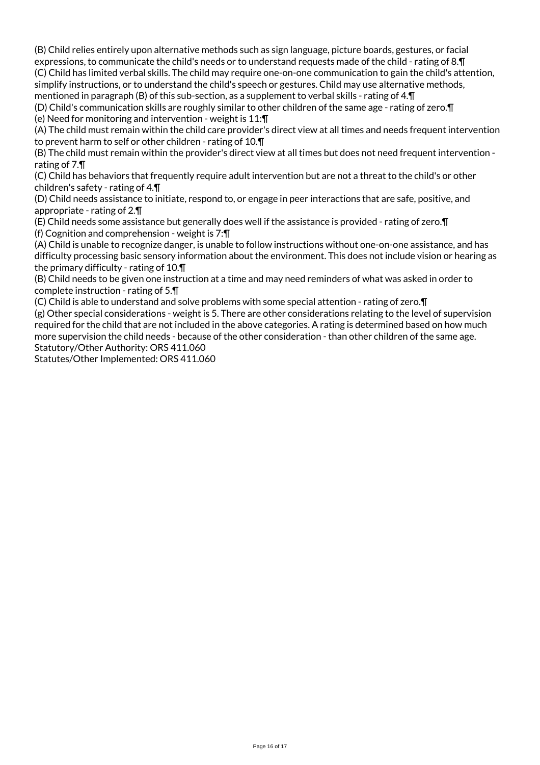(B) Child relies entirely upon alternative methods such as sign language, picture boards, gestures, or facial expressions, to communicate the child's needs or to understand requests made of the child - rating of 8.¶ (C) Child has limited verbal skills. The child may require one-on-one communication to gain the child's attention, simplify instructions, or to understand the child's speech or gestures. Child may use alternative methods, mentioned in paragraph (B) of this sub-section, as a supplement to verbal skills - rating of 4.¶

(D) Child's communication skills are roughly similar to other children of the same age - rating of zero.¶ (e) Need for monitoring and intervention - weight is 11:¶

(A) The child must remain within the child care provider's direct view at all times and needs frequent intervention to prevent harm to self or other children - rating of 10.¶

(B) The child must remain within the provider's direct view at all times but does not need frequent intervention rating of 7.¶

(C) Child has behaviors that frequently require adult intervention but are not a threat to the child's or other children's safety - rating of 4.¶

(D) Child needs assistance to initiate, respond to, or engage in peer interactions that are safe, positive, and appropriate - rating of 2.¶

(E) Child needs some assistance but generally does well if the assistance is provided - rating of zero.¶ (f) Cognition and comprehension - weight is 7:¶

(A) Child is unable to recognize danger, is unable to follow instructions without one-on-one assistance, and has difficulty processing basic sensory information about the environment. This does not include vision or hearing as the primary difficulty - rating of 10.¶

(B) Child needs to be given one instruction at a time and may need reminders of what was asked in order to complete instruction - rating of 5.¶

(C) Child is able to understand and solve problems with some special attention - rating of zero.¶

(g) Other special considerations - weight is 5. There are other considerations relating to the level of supervision required for the child that are not included in the above categories. A rating is determined based on how much more supervision the child needs - because of the other consideration - than other children of the same age. Statutory/Other Authority: ORS 411.060

Statutes/Other Implemented: ORS 411.060